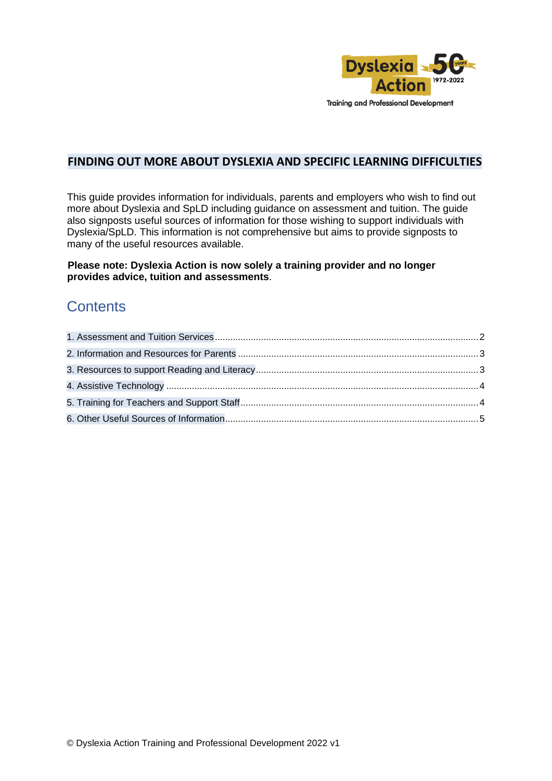

#### **FINDING OUT MORE ABOUT DYSLEXIA AND SPECIFIC LEARNING DIFFICULTIES**

This guide provides information for individuals, parents and employers who wish to find out more about Dyslexia and SpLD including guidance on assessment and tuition. The guide also signposts useful sources of information for those wishing to support individuals with Dyslexia/SpLD. This information is not comprehensive but aims to provide signposts to many of the useful resources available.

#### **Please note: Dyslexia Action is now solely a training provider and no longer provides advice, tuition and assessments**.

### **Contents**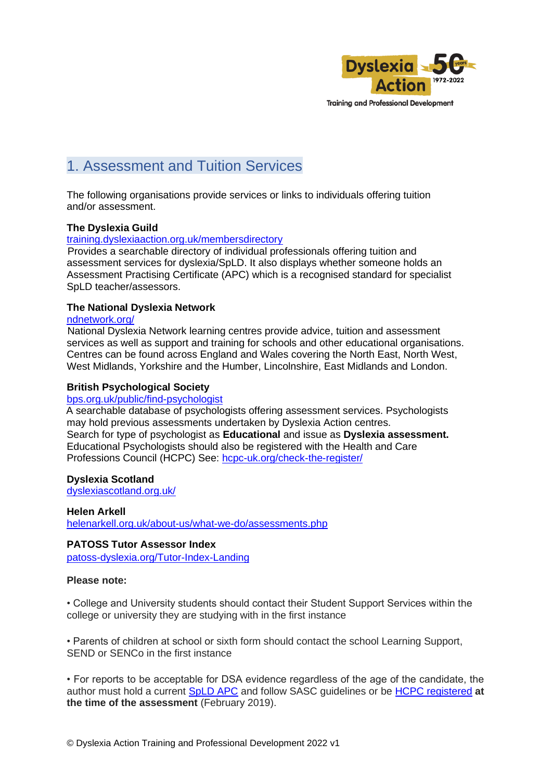

**Training and Professional Development** 

# <span id="page-1-0"></span>1. Assessment and Tuition Services

The following organisations provide services or links to individuals offering tuition and/or assessment.

#### **The Dyslexia Guild**

training.dyslexiaaction.org.uk/membersdirectory

Provides a searchable directory of individual professionals offering tuition and assessment services for dyslexia/SpLD. It also displays whether someone holds an Assessment Practising Certificate (APC) which is a recognised standard for specialist SpLD teacher/assessors.

#### **The National Dyslexia Network**

#### ndnetwork.org/

National Dyslexia Network learning centres provide advice, tuition and assessment services as well as support and training for schools and other educational organisations. Centres can be found across England and Wales covering the North East, North West, West Midlands, Yorkshire and the Humber, Lincolnshire, East Midlands and London.

#### **British Psychological Society**

#### bps.org.uk/public/find-psychologist

A searchable database of psychologists offering assessment services. Psychologists may hold previous assessments undertaken by Dyslexia Action centres. Search for type of psychologist as **Educational** and issue as **Dyslexia assessment.**  Educational Psychologists should also be registered with the Health and Care Professions Council (HCPC) See: hcpc-uk.org/check-the-register/

#### **Dyslexia Scotland**

dyslexiascotland.org.uk/

**Helen Arkell** helenarkell.org.uk/about-us/what-we-do/assessments.php

#### **PATOSS Tutor Assessor Index**

patoss-dyslexia.org/Tutor-Index-Landing

#### **Please note:**

• College and University students should contact their Student Support Services within the college or university they are studying with in the first instance

• Parents of children at school or sixth form should contact the school Learning Support, SEND or SENCo in the first instance

• For reports to be acceptable for DSA evidence regardless of the age of the candidate, the author must hold a current SpLD APC and follow SASC guidelines or be HCPC registered **at the time of the assessment** (February 2019).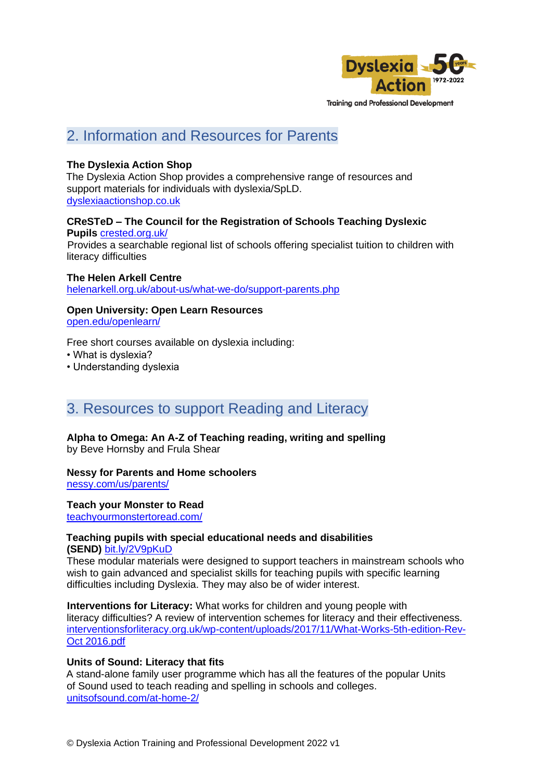

### <span id="page-2-0"></span>2. Information and Resources for Parents

#### **The Dyslexia Action Shop**

The Dyslexia Action Shop provides a comprehensive range of resources and support materials for individuals with dyslexia/SpLD. dyslexiaactionshop.co.uk

**CReSTeD – The Council for the Registration of Schools Teaching Dyslexic Pupils** crested.org.uk/ Provides a searchable regional list of schools offering specialist tuition to children with

literacy difficulties

**The Helen Arkell Centre** helenarkell.org.uk/about-us/what-we-do/support-parents.php

**Open University: Open Learn Resources** open.edu/openlearn/

Free short courses available on dyslexia including:

• What is dyslexia?

• Understanding dyslexia

### <span id="page-2-1"></span>3. Resources to support Reading and Literacy

**Alpha to Omega: An A-Z of Teaching reading, writing and spelling** by Beve Hornsby and Frula Shear

**Nessy for Parents and Home schoolers**

nessy.com/us/parents/

**Teach your Monster to Read** teachyourmonstertoread.com/

#### **Teaching pupils with special educational needs and disabilities (SEND)** bit.ly/2V9pKuD

These modular materials were designed to support teachers in mainstream schools who wish to gain advanced and specialist skills for teaching pupils with specific learning difficulties including Dyslexia. They may also be of wider interest.

**Interventions for Literacy:** What works for children and young people with literacy difficulties? A review of intervention schemes for literacy and their effectiveness. interventionsforliteracy.org.uk/wp-content/uploads/2017/11/What-Works-5th-edition-Rev-Oct 2016.pdf

#### **Units of Sound: Literacy that fits**

A stand-alone family user programme which has all the features of the popular Units of Sound used to teach reading and spelling in schools and colleges. unitsofsound.com/at-home-2/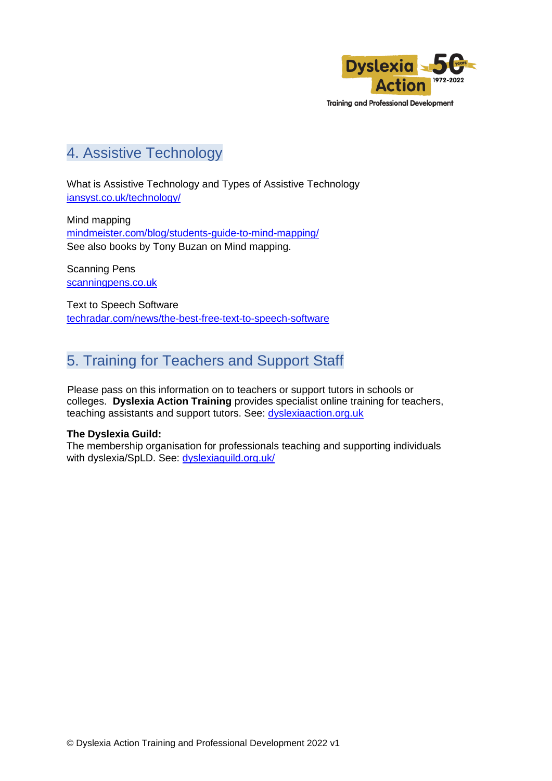

**Training and Professional Development** 

## <span id="page-3-0"></span>4. Assistive Technology

What is Assistive Technology and Types of Assistive Technology iansyst.co.uk/technology/

Mind mapping mindmeister.com/blog/students-guide-to-mind-mapping/ See also books by Tony Buzan on Mind mapping.

Scanning Pens scanningpens.co.uk

Text to Speech Software techradar.com/news/the-best-free-text-to-speech-software

# <span id="page-3-1"></span>5. Training for Teachers and Support Staff

Please pass on this information on to teachers or support tutors in schools or colleges. **Dyslexia Action Training** provides specialist online training for teachers, teaching assistants and support tutors. See: dyslexiaaction.org.uk

#### **The Dyslexia Guild:**

The membership organisation for professionals teaching and supporting individuals with dyslexia/SpLD. See: dyslexiaguild.org.uk/